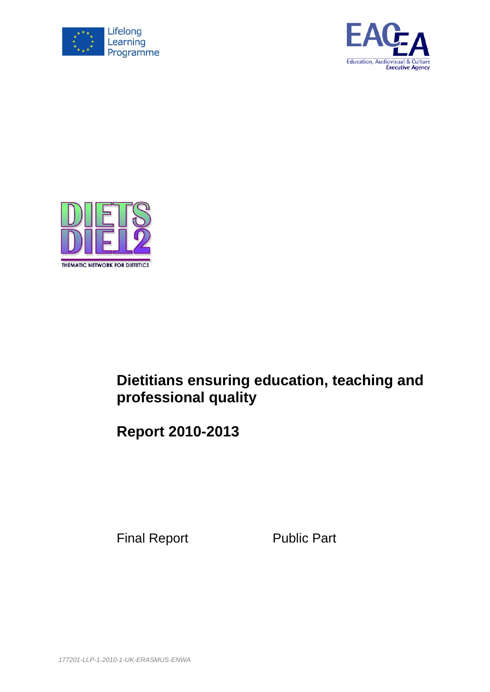





# **Dietitians ensuring education, teaching and professional quality**

**Report 2010-2013**

Final Report Public Part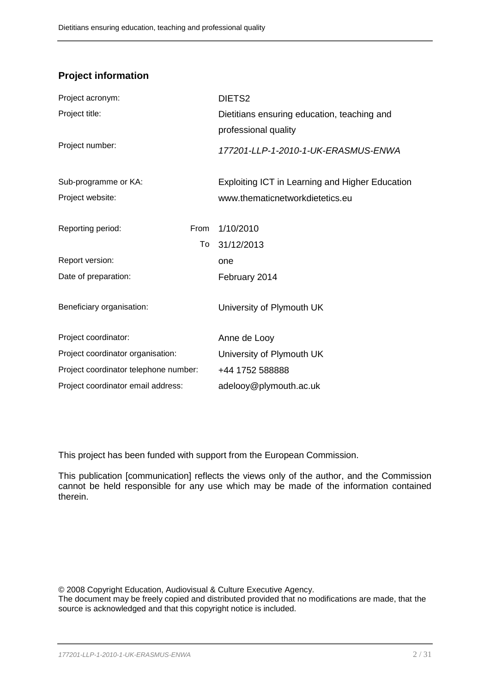# **Project information**

|                                       | DIETS <sub>2</sub>                              |
|---------------------------------------|-------------------------------------------------|
|                                       | Dietitians ensuring education, teaching and     |
|                                       | professional quality                            |
|                                       | 177201-LLP-1-2010-1-UK-ERASMUS-ENWA             |
|                                       | Exploiting ICT in Learning and Higher Education |
|                                       | www.thematicnetworkdietetics.eu                 |
|                                       |                                                 |
| From                                  | 1/10/2010                                       |
| To                                    | 31/12/2013                                      |
|                                       | one                                             |
|                                       | February 2014                                   |
|                                       |                                                 |
|                                       | University of Plymouth UK                       |
|                                       |                                                 |
|                                       | Anne de Looy                                    |
|                                       | University of Plymouth UK                       |
| Project coordinator telephone number: | +44 1752 588888                                 |
|                                       | adelooy@plymouth.ac.uk                          |
|                                       |                                                 |

This project has been funded with support from the European Commission.

This publication [communication] reflects the views only of the author, and the Commission cannot be held responsible for any use which may be made of the information contained therein.

© 2008 Copyright Education, Audiovisual & Culture Executive Agency.

The document may be freely copied and distributed provided that no modifications are made, that the source is acknowledged and that this copyright notice is included.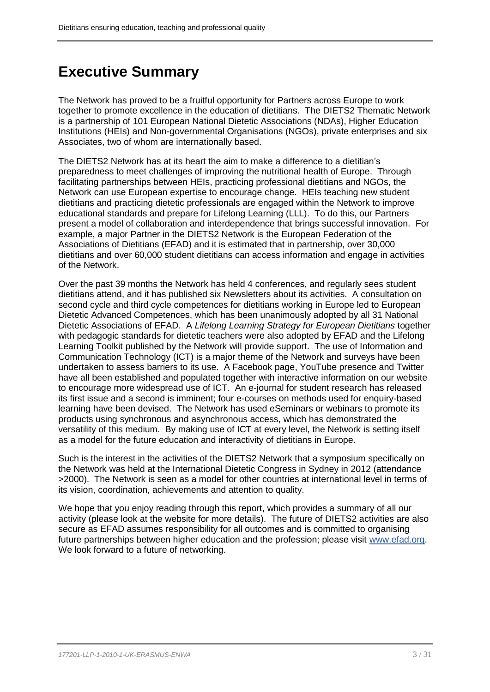# **Executive Summary**

The Network has proved to be a fruitful opportunity for Partners across Europe to work together to promote excellence in the education of dietitians. The DIETS2 Thematic Network is a partnership of 101 European National Dietetic Associations (NDAs), Higher Education Institutions (HEIs) and Non-governmental Organisations (NGOs), private enterprises and six Associates, two of whom are internationally based.

The DIETS2 Network has at its heart the aim to make a difference to a dietitian's preparedness to meet challenges of improving the nutritional health of Europe. Through facilitating partnerships between HEIs, practicing professional dietitians and NGOs, the Network can use European expertise to encourage change. HEIs teaching new student dietitians and practicing dietetic professionals are engaged within the Network to improve educational standards and prepare for Lifelong Learning (LLL). To do this, our Partners present a model of collaboration and interdependence that brings successful innovation. For example, a major Partner in the DIETS2 Network is the European Federation of the Associations of Dietitians (EFAD) and it is estimated that in partnership, over 30,000 dietitians and over 60,000 student dietitians can access information and engage in activities of the Network.

Over the past 39 months the Network has held 4 conferences, and regularly sees student dietitians attend, and it has published six Newsletters about its activities. A consultation on second cycle and third cycle competences for dietitians working in Europe led to European Dietetic Advanced Competences, which has been unanimously adopted by all 31 National Dietetic Associations of EFAD. A *Lifelong Learning Strategy for European Dietitians* together with pedagogic standards for dietetic teachers were also adopted by EFAD and the Lifelong Learning Toolkit published by the Network will provide support. The use of Information and Communication Technology (ICT) is a major theme of the Network and surveys have been undertaken to assess barriers to its use. A Facebook page, YouTube presence and Twitter have all been established and populated together with interactive information on our website to encourage more widespread use of ICT. An e-journal for student research has released its first issue and a second is imminent; four e-courses on methods used for enquiry-based learning have been devised. The Network has used eSeminars or webinars to promote its products using synchronous and asynchronous access, which has demonstrated the versatility of this medium. By making use of ICT at every level, the Network is setting itself as a model for the future education and interactivity of dietitians in Europe.

Such is the interest in the activities of the DIETS2 Network that a symposium specifically on the Network was held at the International Dietetic Congress in Sydney in 2012 (attendance >2000). The Network is seen as a model for other countries at international level in terms of its vision, coordination, achievements and attention to quality.

We hope that you enjoy reading through this report, which provides a summary of all our activity (please look at the website for more details). The future of DIETS2 activities are also secure as EFAD assumes responsibility for all outcomes and is committed to organising future partnerships between higher education and the profession; please visit [www.efad.org.](http://www.efad.org/) We look forward to a future of networking.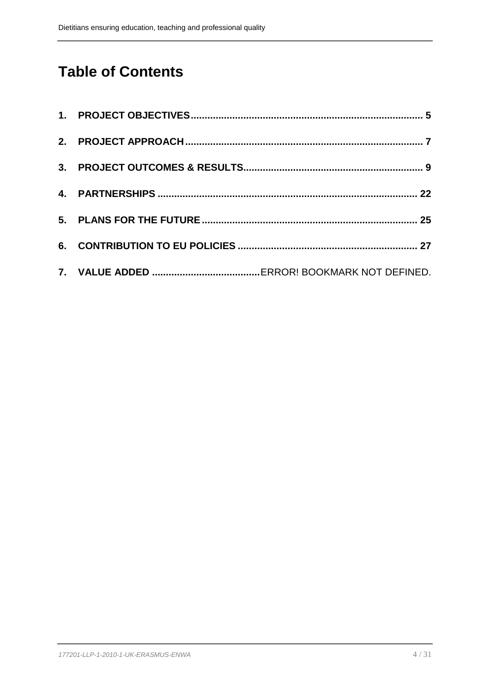# **Table of Contents**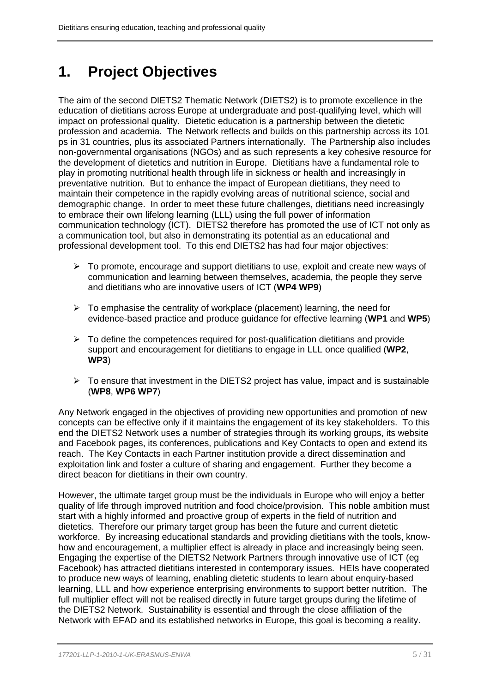# <span id="page-4-0"></span>**1. Project Objectives**

The aim of the second DIETS2 Thematic Network (DIETS2) is to promote excellence in the education of dietitians across Europe at undergraduate and post-qualifying level, which will impact on professional quality. Dietetic education is a partnership between the dietetic profession and academia. The Network reflects and builds on this partnership across its 101 ps in 31 countries, plus its associated Partners internationally. The Partnership also includes non-governmental organisations (NGOs) and as such represents a key cohesive resource for the development of dietetics and nutrition in Europe. Dietitians have a fundamental role to play in promoting nutritional health through life in sickness or health and increasingly in preventative nutrition. But to enhance the impact of European dietitians, they need to maintain their competence in the rapidly evolving areas of nutritional science, social and demographic change. In order to meet these future challenges, dietitians need increasingly to embrace their own lifelong learning (LLL) using the full power of information communication technology (ICT). DIETS2 therefore has promoted the use of ICT not only as a communication tool, but also in demonstrating its potential as an educational and professional development tool. To this end DIETS2 has had four major objectives:

- $\triangleright$  To promote, encourage and support dietitians to use, exploit and create new ways of communication and learning between themselves, academia, the people they serve and dietitians who are innovative users of ICT (**WP4 WP9**)
- $\triangleright$  To emphasise the centrality of workplace (placement) learning, the need for evidence-based practice and produce guidance for effective learning (**WP1** and **WP5**)
- $\triangleright$  To define the competences required for post-qualification dietitians and provide support and encouragement for dietitians to engage in LLL once qualified (**WP2**, **WP3**)
- $\triangleright$  To ensure that investment in the DIETS2 project has value, impact and is sustainable (**WP8**, **WP6 WP7**)

Any Network engaged in the objectives of providing new opportunities and promotion of new concepts can be effective only if it maintains the engagement of its key stakeholders. To this end the DIETS2 Network uses a number of strategies through its working groups, its website and Facebook pages, its conferences, publications and Key Contacts to open and extend its reach. The Key Contacts in each Partner institution provide a direct dissemination and exploitation link and foster a culture of sharing and engagement. Further they become a direct beacon for dietitians in their own country.

However, the ultimate target group must be the individuals in Europe who will enjoy a better quality of life through improved nutrition and food choice/provision. This noble ambition must start with a highly informed and proactive group of experts in the field of nutrition and dietetics. Therefore our primary target group has been the future and current dietetic workforce. By increasing educational standards and providing dietitians with the tools, knowhow and encouragement, a multiplier effect is already in place and increasingly being seen. Engaging the expertise of the DIETS2 Network Partners through innovative use of ICT (eg Facebook) has attracted dietitians interested in contemporary issues. HEIs have cooperated to produce new ways of learning, enabling dietetic students to learn about enquiry-based learning, LLL and how experience enterprising environments to support better nutrition. The full multiplier effect will not be realised directly in future target groups during the lifetime of the DIETS2 Network. Sustainability is essential and through the close affiliation of the Network with EFAD and its established networks in Europe, this goal is becoming a reality.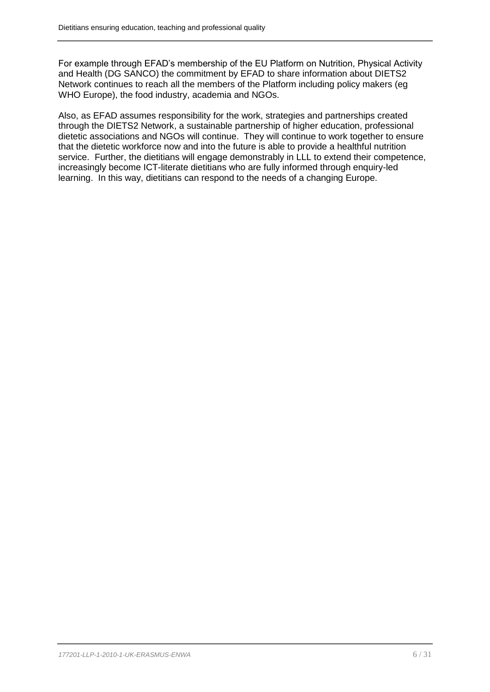For example through EFAD's membership of the EU Platform on Nutrition, Physical Activity and Health (DG SANCO) the commitment by EFAD to share information about DIETS2 Network continues to reach all the members of the Platform including policy makers (eg WHO Europe), the food industry, academia and NGOs.

Also, as EFAD assumes responsibility for the work, strategies and partnerships created through the DIETS2 Network, a sustainable partnership of higher education, professional dietetic associations and NGOs will continue. They will continue to work together to ensure that the dietetic workforce now and into the future is able to provide a healthful nutrition service. Further, the dietitians will engage demonstrably in LLL to extend their competence, increasingly become ICT-literate dietitians who are fully informed through enquiry-led learning. In this way, dietitians can respond to the needs of a changing Europe.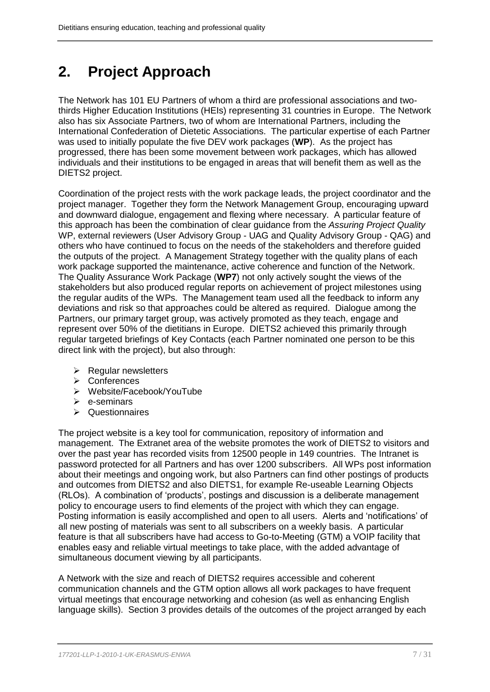# <span id="page-6-0"></span>**2. Project Approach**

The Network has 101 EU Partners of whom a third are professional associations and twothirds Higher Education Institutions (HEIs) representing 31 countries in Europe. The Network also has six Associate Partners, two of whom are International Partners, including the International Confederation of Dietetic Associations. The particular expertise of each Partner was used to initially populate the five DEV work packages (**WP**). As the project has progressed, there has been some movement between work packages, which has allowed individuals and their institutions to be engaged in areas that will benefit them as well as the DIETS2 project.

Coordination of the project rests with the work package leads, the project coordinator and the project manager. Together they form the Network Management Group, encouraging upward and downward dialogue, engagement and flexing where necessary. A particular feature of this approach has been the combination of clear guidance from the *Assuring Project Quality* WP, external reviewers (User Advisory Group - UAG and Quality Advisory Group - QAG) and others who have continued to focus on the needs of the stakeholders and therefore guided the outputs of the project. A Management Strategy together with the quality plans of each work package supported the maintenance, active coherence and function of the Network. The Quality Assurance Work Package (**WP7**) not only actively sought the views of the stakeholders but also produced regular reports on achievement of project milestones using the regular audits of the WPs. The Management team used all the feedback to inform any deviations and risk so that approaches could be altered as required. Dialogue among the Partners, our primary target group, was actively promoted as they teach, engage and represent over 50% of the dietitians in Europe. DIETS2 achieved this primarily through regular targeted briefings of Key Contacts (each Partner nominated one person to be this direct link with the project), but also through:

- $\triangleright$  Regular newsletters
- Conferences
- Website/Facebook/YouTube
- $\triangleright$  e-seminars
- $\triangleright$  Questionnaires

The project website is a key tool for communication, repository of information and management. The Extranet area of the website promotes the work of DIETS2 to visitors and over the past year has recorded visits from 12500 people in 149 countries. The Intranet is password protected for all Partners and has over 1200 subscribers. All WPs post information about their meetings and ongoing work, but also Partners can find other postings of products and outcomes from DIETS2 and also DIETS1, for example Re-useable Learning Objects (RLOs). A combination of 'products', postings and discussion is a deliberate management policy to encourage users to find elements of the project with which they can engage. Posting information is easily accomplished and open to all users. Alerts and 'notifications' of all new posting of materials was sent to all subscribers on a weekly basis. A particular feature is that all subscribers have had access to Go-to-Meeting (GTM) a VOIP facility that enables easy and reliable virtual meetings to take place, with the added advantage of simultaneous document viewing by all participants.

A Network with the size and reach of DIETS2 requires accessible and coherent communication channels and the GTM option allows all work packages to have frequent virtual meetings that encourage networking and cohesion (as well as enhancing English language skills). Section 3 provides details of the outcomes of the project arranged by each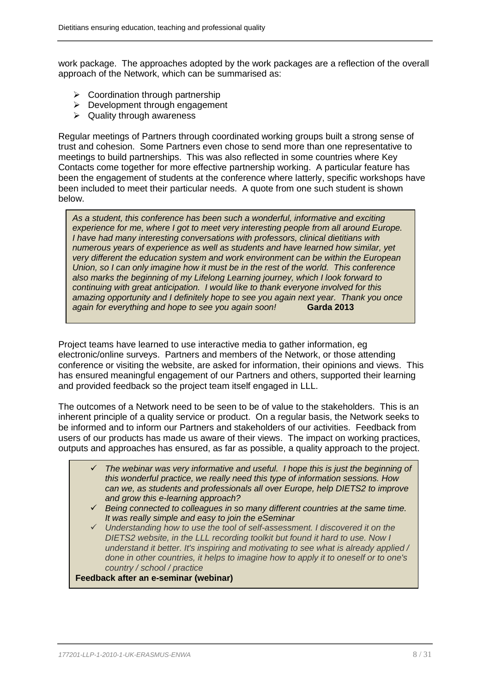work package. The approaches adopted by the work packages are a reflection of the overall approach of the Network, which can be summarised as:

- $\triangleright$  Coordination through partnership
- > Development through engagement
- $\triangleright$  Quality through awareness

Regular meetings of Partners through coordinated working groups built a strong sense of trust and cohesion. Some Partners even chose to send more than one representative to meetings to build partnerships. This was also reflected in some countries where Key Contacts come together for more effective partnership working. A particular feature has been the engagement of students at the conference where latterly, specific workshops have been included to meet their particular needs. A quote from one such student is shown below.

*As a student, this conference has been such a wonderful, informative and exciting experience for me, where I got to meet very interesting people from all around Europe. I have had many interesting conversations with professors, clinical dietitians with numerous years of experience as well as students and have learned how similar, yet very different the education system and work environment can be within the European Union, so I can only imagine how it must be in the rest of the world. This conference also marks the beginning of my Lifelong Learning journey, which I look forward to continuing with great anticipation. I would like to thank everyone involved for this amazing opportunity and I definitely hope to see you again next year. Thank you once again for everything and hope to see you again soon!* **Garda 2013**

Project teams have learned to use interactive media to gather information, eg electronic/online surveys. Partners and members of the Network, or those attending conference or visiting the website, are asked for information, their opinions and views. This has ensured meaningful engagement of our Partners and others, supported their learning and provided feedback so the project team itself engaged in LLL.

The outcomes of a Network need to be seen to be of value to the stakeholders. This is an inherent principle of a quality service or product. On a regular basis, the Network seeks to be informed and to inform our Partners and stakeholders of our activities. Feedback from users of our products has made us aware of their views. The impact on working practices, outputs and approaches has ensured, as far as possible, a quality approach to the project.

- *The webinar was very informative and useful. I hope this is just the beginning of this wonderful practice, we really need this type of information sessions. How can we, as students and professionals all over Europe, help DIETS2 to improve and grow this e-learning approach?*
- *Being connected to colleagues in so many different countries at the same time. It was really simple and easy to join the eSeminar*
- *Understanding how to use the tool of self-assessment. I discovered it on the DIETS2 website, in the LLL recording toolkit but found it hard to use. Now I understand it better. It's inspiring and motivating to see what is already applied / done in other countries, it helps to imagine how to apply it to oneself or to one's country / school / practice*

**Feedback after an e-seminar (webinar)**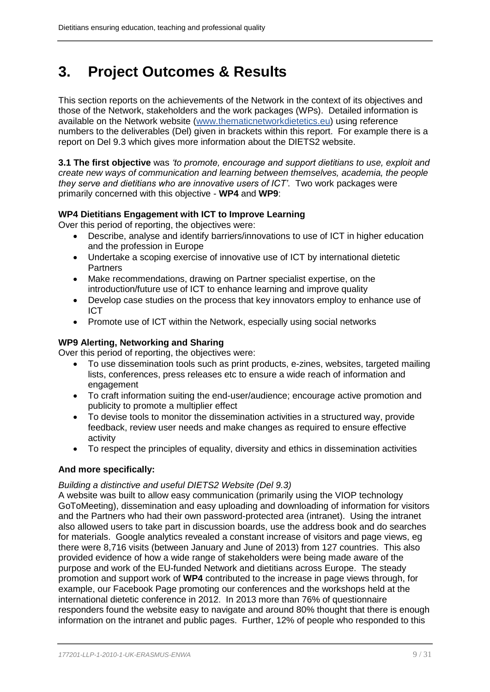# <span id="page-8-0"></span>**3. Project Outcomes & Results**

This section reports on the achievements of the Network in the context of its objectives and those of the Network, stakeholders and the work packages (WPs). Detailed information is available on the Network website [\(www.thematicnetworkdietetics.eu\)](http://www.thematicnetworkdietetics.eu/) using reference numbers to the deliverables (Del) given in brackets within this report. For example there is a report on Del 9.3 which gives more information about the DIETS2 website.

**3.1 The first objective** was *'to promote, encourage and support dietitians to use, exploit and create new ways of communication and learning between themselves, academia, the people they serve and dietitians who are innovative users of ICT'*. Two work packages were primarily concerned with this objective - **WP4** and **WP9**:

# **WP4 Dietitians Engagement with ICT to Improve Learning**

Over this period of reporting, the objectives were:

- Describe, analyse and identify barriers/innovations to use of ICT in higher education and the profession in Europe
- Undertake a scoping exercise of innovative use of ICT by international dietetic **Partners**
- Make recommendations, drawing on Partner specialist expertise, on the introduction/future use of ICT to enhance learning and improve quality
- Develop case studies on the process that key innovators employ to enhance use of ICT
- Promote use of ICT within the Network, especially using social networks

# **WP9 Alerting, Networking and Sharing**

Over this period of reporting, the objectives were:

- To use dissemination tools such as print products, e-zines, websites, targeted mailing lists, conferences, press releases etc to ensure a wide reach of information and engagement
- To craft information suiting the end-user/audience; encourage active promotion and publicity to promote a multiplier effect
- To devise tools to monitor the dissemination activities in a structured way, provide feedback, review user needs and make changes as required to ensure effective activity
- To respect the principles of equality, diversity and ethics in dissemination activities

# **And more specifically:**

# *Building a distinctive and useful DIETS2 Website (Del 9.3)*

A website was built to allow easy communication (primarily using the VIOP technology GoToMeeting), dissemination and easy uploading and downloading of information for visitors and the Partners who had their own password-protected area (intranet). Using the intranet also allowed users to take part in discussion boards, use the address book and do searches for materials. Google analytics revealed a constant increase of visitors and page views, eg there were 8,716 visits (between January and June of 2013) from 127 countries. This also provided evidence of how a wide range of stakeholders were being made aware of the purpose and work of the EU-funded Network and dietitians across Europe. The steady promotion and support work of **WP4** contributed to the increase in page views through, for example, our Facebook Page promoting our conferences and the workshops held at the international dietetic conference in 2012. In 2013 more than 76% of questionnaire responders found the website easy to navigate and around 80% thought that there is enough information on the intranet and public pages. Further, 12% of people who responded to this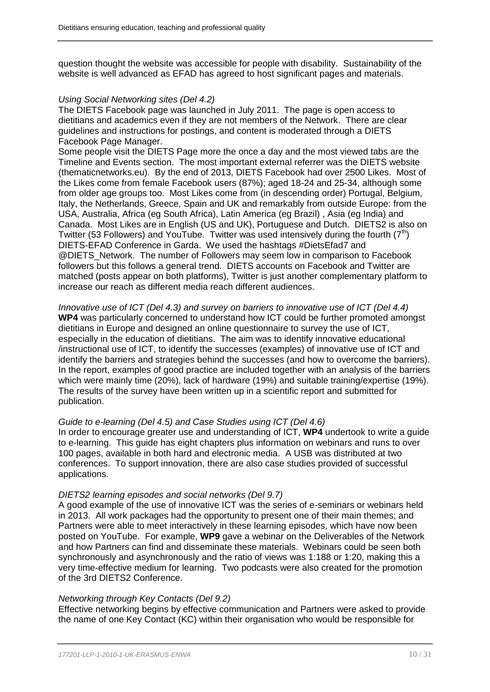question thought the website was accessible for people with disability. Sustainability of the website is well advanced as EFAD has agreed to host significant pages and materials.

## *Using Social Networking sites (Del 4.2)*

The DIETS Facebook page was launched in July 2011. The page is open access to dietitians and academics even if they are not members of the Network. There are clear guidelines and instructions for postings, and content is moderated through a DIETS Facebook Page Manager.

Some people visit the DIETS Page more the once a day and the most viewed tabs are the Timeline and Events section. The most important external referrer was the DIETS website (thematicnetworks.eu). By the end of 2013, DIETS Facebook had over 2500 Likes. Most of the Likes come from female Facebook users (87%); aged 18-24 and 25-34, although some from older age groups too. Most Likes come from (in descending order) Portugal, Belgium, Italy, the Netherlands, Greece, Spain and UK and remarkably from outside Europe: from the USA, Australia, Africa (eg South Africa), Latin America (eg Brazil) , Asia (eg India) and Canada. Most Likes are in English (US and UK), Portuguese and Dutch. DIETS2 is also on Twitter (53 Followers) and YouTube. Twitter was used intensively during the fourth  $(7<sup>th</sup>)$ DIETS-EFAD Conference in Garda. We used the hashtags #DietsEfad7 and @DIETS\_Network. The number of Followers may seem low in comparison to Facebook followers but this follows a general trend. DIETS accounts on Facebook and Twitter are matched (posts appear on both platforms), Twitter is just another complementary platform to increase our reach as different media reach different audiences.

*Innovative use of ICT (Del 4.3) and survey on barriers to innovative use of ICT (Del 4.4)* **WP4** was particularly concerned to understand how ICT could be further promoted amongst dietitians in Europe and designed an online questionnaire to survey the use of ICT, especially in the education of dietitians. The aim was to identify innovative educational /instructional use of ICT, to identify the successes (examples) of innovative use of ICT and identify the barriers and strategies behind the successes (and how to overcome the barriers). In the report, examples of good practice are included together with an analysis of the barriers which were mainly time (20%), lack of hardware (19%) and suitable training/expertise (19%). The results of the survey have been written up in a scientific report and submitted for publication.

# *Guide to e-learning (Del 4.5) and Case Studies using ICT (Del 4.6)*

In order to encourage greater use and understanding of ICT, **WP4** undertook to write a guide to e-learning. This guide has eight chapters plus information on webinars and runs to over 100 pages, available in both hard and electronic media. A USB was distributed at two conferences. To support innovation, there are also case studies provided of successful applications.

### *DIETS2 learning episodes and social networks (Del 9.7)*

A good example of the use of innovative ICT was the series of e-seminars or webinars held in 2013. All work packages had the opportunity to present one of their main themes; and Partners were able to meet interactively in these learning episodes, which have now been posted on YouTube. For example, **WP9** gave a webinar on the Deliverables of the Network and how Partners can find and disseminate these materials. Webinars could be seen both synchronously and asynchronously and the ratio of views was 1:188 or 1:20, making this a very time-effective medium for learning. Two podcasts were also created for the promotion of the 3rd DIETS2 Conference.

### *Networking through Key Contacts (Del 9.2)*

Effective networking begins by effective communication and Partners were asked to provide the name of one Key Contact (KC) within their organisation who would be responsible for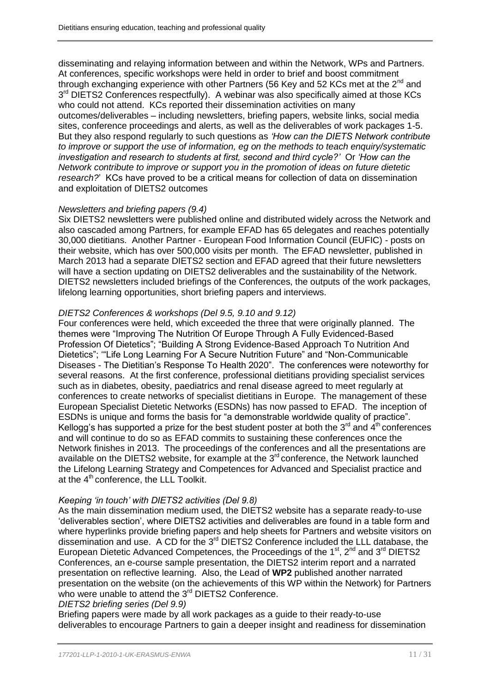disseminating and relaying information between and within the Network, WPs and Partners. At conferences, specific workshops were held in order to brief and boost commitment through exchanging experience with other Partners (56 Key and 52 KCs met at the 2<sup>nd</sup> and 3<sup>rd</sup> DIETS2 Conferences respectfully). A webinar was also specifically aimed at those KCs who could not attend. KCs reported their dissemination activities on many outcomes/deliverables – including newsletters, briefing papers, website links, social media sites, conference proceedings and alerts, as well as the deliverables of work packages 1-5. But they also respond regularly to such questions as *'How can the DIETS Network contribute to improve or support the use of information, eg on the methods to teach enquiry/systematic investigation and research to students at first, second and third cycle?'* Or *'How can the Network contribute to improve or support you in the promotion of ideas on future dietetic research?*' KCs have proved to be a critical means for collection of data on dissemination and exploitation of DIETS2 outcomes

# *Newsletters and briefing papers (9.4)*

Six DIETS2 newsletters were published online and distributed widely across the Network and also cascaded among Partners, for example EFAD has 65 delegates and reaches potentially 30,000 dietitians. Another Partner - European Food Information Council (EUFIC) - posts on their website, which has over 500,000 visits per month. The EFAD newsletter, published in March 2013 had a separate DIETS2 section and EFAD agreed that their future newsletters will have a section updating on DIETS2 deliverables and the sustainability of the Network. DIETS2 newsletters included briefings of the Conferences, the outputs of the work packages, lifelong learning opportunities, short briefing papers and interviews.

# *DIETS2 Conferences & workshops (Del 9.5, 9.10 and 9.12)*

Four conferences were held, which exceeded the three that were originally planned. The themes were "Improving The Nutrition Of Europe Through A Fully Evidenced-Based Profession Of Dietetics"; "Building A Strong Evidence-Based Approach To Nutrition And Dietetics"; '"Life Long Learning For A Secure Nutrition Future" and "Non-Communicable Diseases - The Dietitian's Response To Health 2020". The conferences were noteworthy for several reasons. At the first conference, professional dietitians providing specialist services such as in diabetes, obesity, paediatrics and renal disease agreed to meet regularly at conferences to create networks of specialist dietitians in Europe. The management of these European Specialist Dietetic Networks (ESDNs) has now passed to EFAD. The inception of ESDNs is unique and forms the basis for "a demonstrable worldwide quality of practice". Kellogg's has supported a prize for the best student poster at both the  $3<sup>rd</sup>$  and  $4<sup>th</sup>$  conferences and will continue to do so as EFAD commits to sustaining these conferences once the Network finishes in 2013. The proceedings of the conferences and all the presentations are available on the DIETS2 website, for example at the  $3<sup>rd</sup>$  conference, the Network launched the Lifelong Learning Strategy and Competences for Advanced and Specialist practice and at the 4<sup>th</sup> conference, the LLL Toolkit.

# *Keeping 'in touch' with DIETS2 activities (Del 9.8)*

As the main dissemination medium used, the DIETS2 website has a separate ready-to-use 'deliverables section', where DIETS2 activities and deliverables are found in a table form and where hyperlinks provide briefing papers and help sheets for Partners and website visitors on dissemination and use. A CD for the 3rd DIETS2 Conference included the LLL database, the European Dietetic Advanced Competences, the Proceedings of the  $1<sup>st</sup>$ ,  $2<sup>nd</sup>$  and  $3<sup>rd</sup>$  DIETS2 Conferences, an e-course sample presentation, the DIETS2 interim report and a narrated presentation on reflective learning. Also, the Lead of **WP2** published another narrated presentation on the website (on the achievements of this WP within the Network) for Partners who were unable to attend the 3<sup>rd</sup> DIETS2 Conference.

### *DIETS2 briefing series (Del 9.9)*

Briefing papers were made by all work packages as a guide to their ready-to-use deliverables to encourage Partners to gain a deeper insight and readiness for dissemination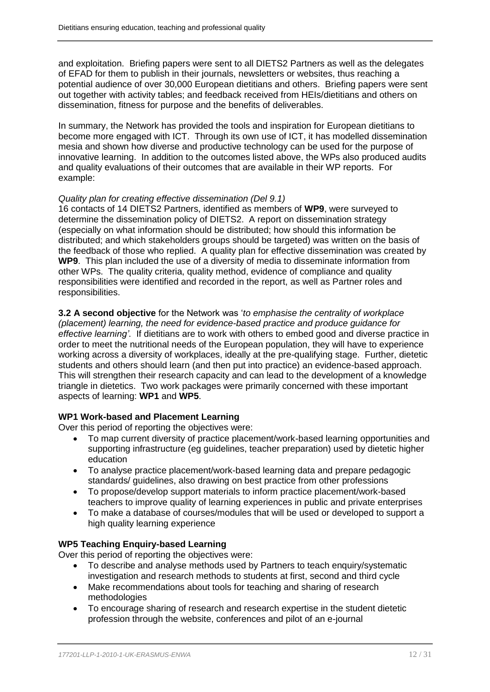and exploitation. Briefing papers were sent to all DIETS2 Partners as well as the delegates of EFAD for them to publish in their journals, newsletters or websites, thus reaching a potential audience of over 30,000 European dietitians and others. Briefing papers were sent out together with activity tables; and feedback received from HEIs/dietitians and others on dissemination, fitness for purpose and the benefits of deliverables.

In summary, the Network has provided the tools and inspiration for European dietitians to become more engaged with ICT. Through its own use of ICT, it has modelled dissemination mesia and shown how diverse and productive technology can be used for the purpose of innovative learning. In addition to the outcomes listed above, the WPs also produced audits and quality evaluations of their outcomes that are available in their WP reports. For example:

## *Quality plan for creating effective dissemination (Del 9.1)*

16 contacts of 14 DIETS2 Partners, identified as members of **WP9**, were surveyed to determine the dissemination policy of DIETS2. A report on dissemination strategy (especially on what information should be distributed; how should this information be distributed; and which stakeholders groups should be targeted) was written on the basis of the feedback of those who replied. A quality plan for effective dissemination was created by **WP9**. This plan included the use of a diversity of media to disseminate information from other WPs. The quality criteria, quality method, evidence of compliance and quality responsibilities were identified and recorded in the report, as well as Partner roles and responsibilities.

**3.2 A second objective** for the Network was '*to emphasise the centrality of workplace (placement) learning, the need for evidence-based practice and produce guidance for effective learning'*. If dietitians are to work with others to embed good and diverse practice in order to meet the nutritional needs of the European population, they will have to experience working across a diversity of workplaces, ideally at the pre-qualifying stage. Further, dietetic students and others should learn (and then put into practice) an evidence-based approach. This will strengthen their research capacity and can lead to the development of a knowledge triangle in dietetics. Two work packages were primarily concerned with these important aspects of learning: **WP1** and **WP5**.

# **WP1 Work-based and Placement Learning**

Over this period of reporting the objectives were:

- To map current diversity of practice placement/work-based learning opportunities and supporting infrastructure (eg guidelines, teacher preparation) used by dietetic higher education
- To analyse practice placement/work-based learning data and prepare pedagogic standards/ guidelines, also drawing on best practice from other professions
- To propose/develop support materials to inform practice placement/work-based teachers to improve quality of learning experiences in public and private enterprises
- To make a database of courses/modules that will be used or developed to support a high quality learning experience

# **WP5 Teaching Enquiry-based Learning**

Over this period of reporting the objectives were:

- To describe and analyse methods used by Partners to teach enquiry/systematic investigation and research methods to students at first, second and third cycle
- Make recommendations about tools for teaching and sharing of research methodologies
- To encourage sharing of research and research expertise in the student dietetic profession through the website, conferences and pilot of an e-journal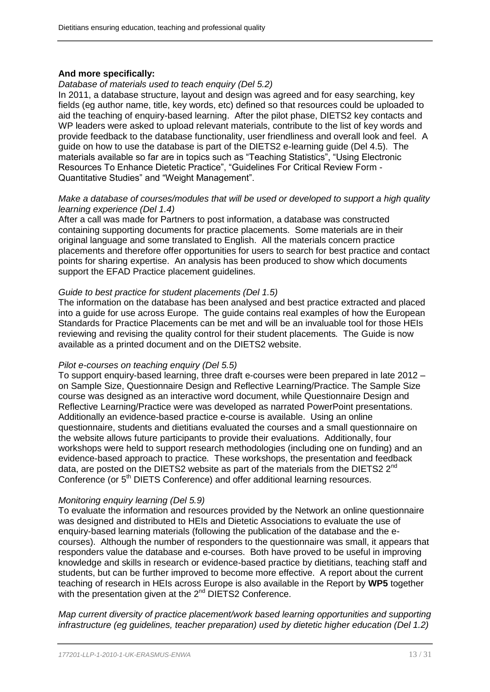# **And more specifically:**

# *Database of materials used to teach enquiry (Del 5.2)*

In 2011, a database structure, layout and design was agreed and for easy searching, key fields (eg author name, title, key words, etc) defined so that resources could be uploaded to aid the teaching of enquiry-based learning. After the pilot phase, DIETS2 key contacts and WP leaders were asked to upload relevant materials, contribute to the list of key words and provide feedback to the database functionality, user friendliness and overall look and feel. A guide on how to use the database is part of the DIETS2 e-learning guide (Del 4.5). The materials available so far are in topics such as "Teaching Statistics", "Using Electronic Resources To Enhance Dietetic Practice", "Guidelines For Critical Review Form - Quantitative Studies" and "Weight Management".

### *Make a database of courses/modules that will be used or developed to support a high quality learning experience (Del 1.4)*

After a call was made for Partners to post information, a database was constructed containing supporting documents for practice placements. Some materials are in their original language and some translated to English. All the materials concern practice placements and therefore offer opportunities for users to search for best practice and contact points for sharing expertise. An analysis has been produced to show which documents support the EFAD Practice placement guidelines.

## *Guide to best practice for student placements (Del 1.5)*

The information on the database has been analysed and best practice extracted and placed into a guide for use across Europe. The guide contains real examples of how the European Standards for Practice Placements can be met and will be an invaluable tool for those HEIs reviewing and revising the quality control for their student placements*.* The Guide is now available as a printed document and on the DIETS2 website.

# *Pilot e-courses on teaching enquiry (Del 5.5)*

To support enquiry-based learning, three draft e-courses were been prepared in late 2012 – on Sample Size, Questionnaire Design and Reflective Learning/Practice. The Sample Size course was designed as an interactive word document, while Questionnaire Design and Reflective Learning/Practice were was developed as narrated PowerPoint presentations. Additionally an evidence-based practice e-course is available. Using an online questionnaire, students and dietitians evaluated the courses and a small questionnaire on the website allows future participants to provide their evaluations. Additionally, four workshops were held to support research methodologies (including one on funding) and an evidence-based approach to practice*.* These workshops, the presentation and feedback data, are posted on the DIETS2 website as part of the materials from the DIETS2 2<sup>nd</sup> Conference (or 5<sup>th</sup> DIETS Conference) and offer additional learning resources.

# *Monitoring enquiry learning (Del 5.9)*

To evaluate the information and resources provided by the Network an online questionnaire was designed and distributed to HEIs and Dietetic Associations to evaluate the use of enquiry-based learning materials (following the publication of the database and the ecourses). Although the number of responders to the questionnaire was small, it appears that responders value the database and e-courses. Both have proved to be useful in improving knowledge and skills in research or evidence-based practice by dietitians, teaching staff and students, but can be further improved to become more effective. A report about the current teaching of research in HEIs across Europe is also available in the Report by **WP5** together with the presentation given at the  $2^{nd}$  DIETS2 Conference.

*Map current diversity of practice placement/work based learning opportunities and supporting infrastructure (eg guidelines, teacher preparation) used by dietetic higher education (Del 1.2)*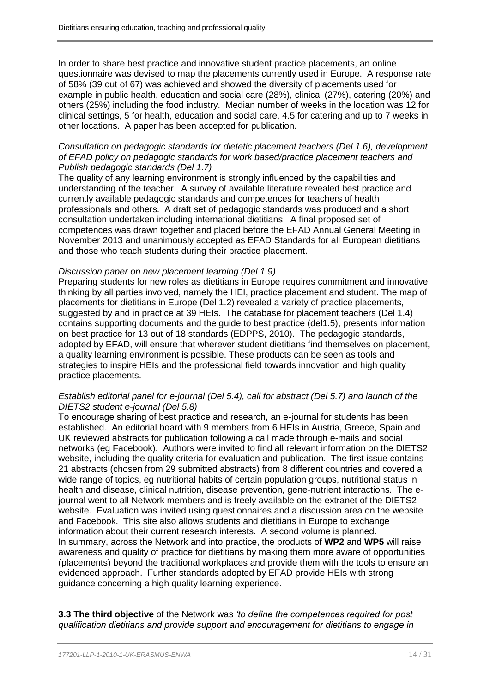In order to share best practice and innovative student practice placements, an online questionnaire was devised to map the placements currently used in Europe. A response rate of 58% (39 out of 67) was achieved and showed the diversity of placements used for example in public health, education and social care (28%), clinical (27%), catering (20%) and others (25%) including the food industry. Median number of weeks in the location was 12 for clinical settings, 5 for health, education and social care, 4.5 for catering and up to 7 weeks in other locations. A paper has been accepted for publication.

## *Consultation on pedagogic standards for dietetic placement teachers (Del 1.6), development of EFAD policy on pedagogic standards for work based/practice placement teachers and Publish pedagogic standards (Del 1.7)*

The quality of any learning environment is strongly influenced by the capabilities and understanding of the teacher. A survey of available literature revealed best practice and currently available pedagogic standards and competences for teachers of health professionals and others. A draft set of pedagogic standards was produced and a short consultation undertaken including international dietitians. A final proposed set of competences was drawn together and placed before the EFAD Annual General Meeting in November 2013 and unanimously accepted as EFAD Standards for all European dietitians and those who teach students during their practice placement.

### *Discussion paper on new placement learning (Del 1.9)*

Preparing students for new roles as dietitians in Europe requires commitment and innovative thinking by all parties involved, namely the HEI, practice placement and student. The map of placements for dietitians in Europe (Del 1.2) revealed a variety of practice placements, suggested by and in practice at 39 HEIs. The database for placement teachers (Del 1.4) contains supporting documents and the guide to best practice (del1.5), presents information on best practice for 13 out of 18 standards (EDPPS, 2010). The pedagogic standards, adopted by EFAD, will ensure that wherever student dietitians find themselves on placement, a quality learning environment is possible. These products can be seen as tools and strategies to inspire HEIs and the professional field towards innovation and high quality practice placements.

# *Establish editorial panel for e-journal (Del 5.4), call for abstract (Del 5.7) and launch of the DIETS2 student e-journal (Del 5.8)*

To encourage sharing of best practice and research, an e-journal for students has been established. An editorial board with 9 members from 6 HEIs in Austria, Greece, Spain and UK reviewed abstracts for publication following a call made through e-mails and social networks (eg Facebook). Authors were invited to find all relevant information on the DIETS2 website, including the quality criteria for evaluation and publication. The first issue contains 21 abstracts (chosen from 29 submitted abstracts) from 8 different countries and covered a wide range of topics, eg nutritional habits of certain population groups, nutritional status in health and disease, clinical nutrition, disease prevention, gene-nutrient interactions. The ejournal went to all Network members and is freely available on the extranet of the DIETS2 website. Evaluation was invited using questionnaires and a discussion area on the website and Facebook. This site also allows students and dietitians in Europe to exchange information about their current research interests. A second volume is planned. In summary, across the Network and into practice, the products of **WP2** and **WP5** will raise awareness and quality of practice for dietitians by making them more aware of opportunities (placements) beyond the traditional workplaces and provide them with the tools to ensure an evidenced approach. Further standards adopted by EFAD provide HEIs with strong guidance concerning a high quality learning experience.

**3.3 The third objective** of the Network was *'to define the competences required for post qualification dietitians and provide support and encouragement for dietitians to engage in*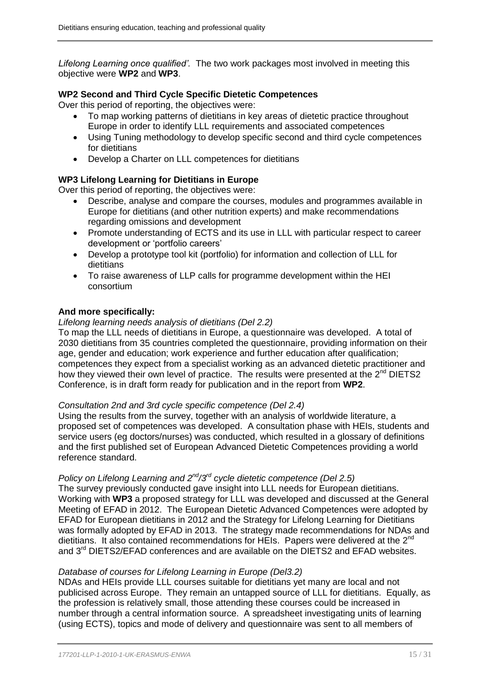*Lifelong Learning once qualified'.* The two work packages most involved in meeting this objective were **WP2** and **WP3**.

# **WP2 Second and Third Cycle Specific Dietetic Competences**

Over this period of reporting, the objectives were:

- To map working patterns of dietitians in key areas of dietetic practice throughout Europe in order to identify LLL requirements and associated competences
- Using Tuning methodology to develop specific second and third cycle competences for dietitians
- Develop a Charter on LLL competences for dietitians

# **WP3 Lifelong Learning for Dietitians in Europe**

Over this period of reporting, the objectives were:

- Describe, analyse and compare the courses, modules and programmes available in Europe for dietitians (and other nutrition experts) and make recommendations regarding omissions and development
- Promote understanding of ECTS and its use in LLL with particular respect to career development or 'portfolio careers'
- Develop a prototype tool kit (portfolio) for information and collection of LLL for dietitians
- To raise awareness of LLP calls for programme development within the HEI consortium

## **And more specifically:**

## *Lifelong learning needs analysis of dietitians (Del 2.2)*

To map the LLL needs of dietitians in Europe, a questionnaire was developed. A total of 2030 dietitians from 35 countries completed the questionnaire, providing information on their age, gender and education; work experience and further education after qualification; competences they expect from a specialist working as an advanced dietetic practitioner and how they viewed their own level of practice. The results were presented at the 2<sup>nd</sup> DIETS2 Conference, is in draft form ready for publication and in the report from **WP2**.

### *Consultation 2nd and 3rd cycle specific competence (Del 2.4)*

Using the results from the survey, together with an analysis of worldwide literature, a proposed set of competences was developed. A consultation phase with HEIs, students and service users (eg doctors/nurses) was conducted, which resulted in a glossary of definitions and the first published set of European Advanced Dietetic Competences providing a world reference standard.

# *Policy on Lifelong Learning and 2nd/3rd cycle dietetic competence (Del 2.5)*

The survey previously conducted gave insight into LLL needs for European dietitians. Working with **WP3** a proposed strategy for LLL was developed and discussed at the General Meeting of EFAD in 2012. The European Dietetic Advanced Competences were adopted by EFAD for European dietitians in 2012 and the Strategy for Lifelong Learning for Dietitians was formally adopted by EFAD in 2013. The strategy made recommendations for NDAs and dietitians. It also contained recommendations for HEIs. Papers were delivered at the 2<sup>nd</sup> and 3<sup>rd</sup> DIETS2/EFAD conferences and are available on the DIETS2 and EFAD websites.

# *Database of courses for Lifelong Learning in Europe (Del3.2)*

NDAs and HEIs provide LLL courses suitable for dietitians yet many are local and not publicised across Europe. They remain an untapped source of LLL for dietitians. Equally, as the profession is relatively small, those attending these courses could be increased in number through a central information source. A spreadsheet investigating units of learning (using ECTS), topics and mode of delivery and questionnaire was sent to all members of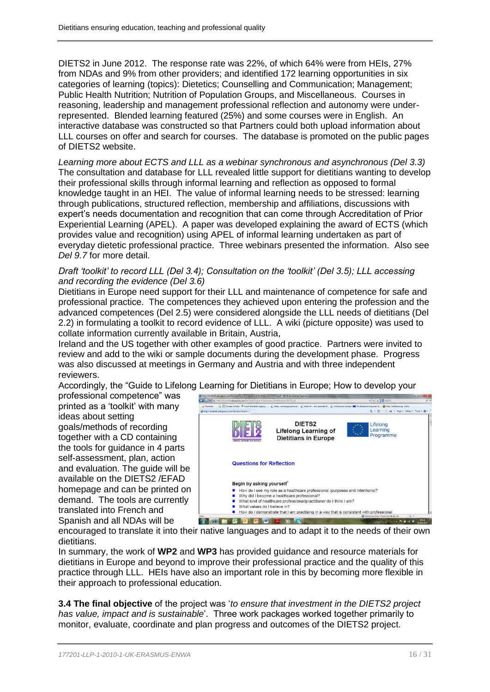DIETS2 in June 2012. The response rate was 22%, of which 64% were from HEIs, 27% from NDAs and 9% from other providers; and identified 172 learning opportunities in six categories of learning (topics): Dietetics; Counselling and Communication; Management; Public Health Nutrition; Nutrition of Population Groups, and Miscellaneous. Courses in reasoning, leadership and management professional reflection and autonomy were underrepresented. Blended learning featured (25%) and some courses were in English. An interactive database was constructed so that Partners could both upload information about LLL courses on offer and search for courses. The database is promoted on the public pages of DIETS2 website.

*Learning more about ECTS and LLL as a webinar synchronous and asynchronous (Del 3.3)* The consultation and database for LLL revealed little support for dietitians wanting to develop their professional skills through informal learning and reflection as opposed to formal knowledge taught in an HEI. The value of informal learning needs to be stressed: learning through publications, structured reflection, membership and affiliations, discussions with expert's needs documentation and recognition that can come through Accreditation of Prior Experiential Learning (APEL). A paper was developed explaining the award of ECTS (which provides value and recognition) using APEL of informal learning undertaken as part of everyday dietetic professional practice. Three webinars presented the information. Also see *Del 9.7* for more detail.

## *Draft 'toolkit' to record LLL (Del 3.4); Consultation on the 'toolkit' (Del 3.5); LLL accessing and recording the evidence (Del 3.6)*

Dietitians in Europe need support for their LLL and maintenance of competence for safe and professional practice. The competences they achieved upon entering the profession and the advanced competences (Del 2.5) were considered alongside the LLL needs of dietitians (Del 2.2) in formulating a toolkit to record evidence of LLL. A wiki (picture opposite) was used to collate information currently available in Britain, Austria,

Ireland and the US together with other examples of good practice. Partners were invited to review and add to the wiki or sample documents during the development phase. Progress was also discussed at meetings in Germany and Austria and with three independent reviewers.

Accordingly, the "Guide to Lifelong Learning for Dietitians in Europe; How to develop your

professional competence" was printed as a 'toolkit' with many ideas about setting goals/methods of recording together with a CD containing the tools for guidance in 4 parts self-assessment, plan, action and evaluation. The guide will be available on the DIETS2 /EFAD homepage and can be printed on demand. The tools are currently translated into French and Spanish and all NDAs will be



encouraged to translate it into their native languages and to adapt it to the needs of their own dietitians.

In summary, the work of **WP2** and **WP3** has provided guidance and resource materials for dietitians in Europe and beyond to improve their professional practice and the quality of this practice through LLL. HEIs have also an important role in this by becoming more flexible in their approach to professional education.

**3.4 The final objective** of the project was '*to ensure that investment in the DIETS2 project has value, impact and is sustainable*'. Three work packages worked together primarily to monitor, evaluate, coordinate and plan progress and outcomes of the DIETS2 project.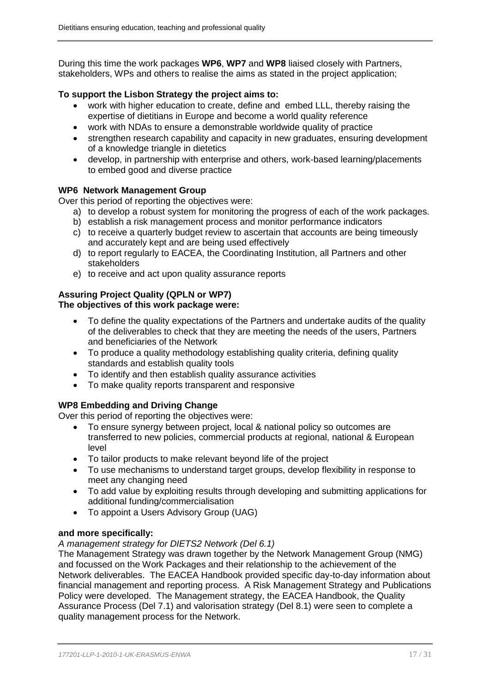During this time the work packages **WP6**, **WP7** and **WP8** liaised closely with Partners, stakeholders, WPs and others to realise the aims as stated in the project application;

# **To support the Lisbon Strategy the project aims to:**

- work with higher education to create, define and embed LLL, thereby raising the expertise of dietitians in Europe and become a world quality reference
- work with NDAs to ensure a demonstrable worldwide quality of practice
- strengthen research capability and capacity in new graduates, ensuring development of a knowledge triangle in dietetics
- develop, in partnership with enterprise and others, work-based learning/placements to embed good and diverse practice

# **WP6 Network Management Group**

Over this period of reporting the objectives were:

- a) to develop a robust system for monitoring the progress of each of the work packages.
- b) establish a risk management process and monitor performance indicators
- c) to receive a quarterly budget review to ascertain that accounts are being timeously and accurately kept and are being used effectively
- d) to report regularly to EACEA, the Coordinating Institution, all Partners and other stakeholders
- e) to receive and act upon quality assurance reports

# **Assuring Project Quality (QPLN or WP7) The objectives of this work package were:**

- To define the quality expectations of the Partners and undertake audits of the quality of the deliverables to check that they are meeting the needs of the users, Partners and beneficiaries of the Network
- To produce a quality methodology establishing quality criteria, defining quality standards and establish quality tools
- To identify and then establish quality assurance activities
- To make quality reports transparent and responsive

# **WP8 Embedding and Driving Change**

Over this period of reporting the objectives were:

- To ensure synergy between project, local & national policy so outcomes are transferred to new policies, commercial products at regional, national & European level
- To tailor products to make relevant beyond life of the project
- To use mechanisms to understand target groups, develop flexibility in response to meet any changing need
- To add value by exploiting results through developing and submitting applications for additional funding/commercialisation
- To appoint a Users Advisory Group (UAG)

# **and more specifically:**

# *A management strategy for DIETS2 Network (Del 6.1)*

The Management Strategy was drawn together by the Network Management Group (NMG) and focussed on the Work Packages and their relationship to the achievement of the Network deliverables. The EACEA Handbook provided specific day-to-day information about financial management and reporting process. A Risk Management Strategy and Publications Policy were developed. The Management strategy, the EACEA Handbook, the Quality Assurance Process (Del 7.1) and valorisation strategy (Del 8.1) were seen to complete a quality management process for the Network.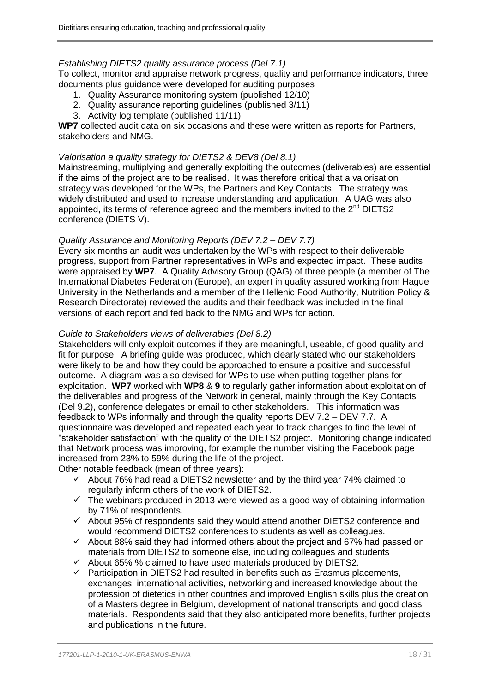## *Establishing DIETS2 quality assurance process (Del 7.1)*

To collect, monitor and appraise network progress, quality and performance indicators, three documents plus guidance were developed for auditing purposes

- 1. Quality Assurance monitoring system (published 12/10)
- 2. Quality assurance reporting guidelines (published 3/11)
- 3. Activity log template (published 11/11)

**WP7** collected audit data on six occasions and these were written as reports for Partners, stakeholders and NMG.

## *Valorisation a quality strategy for DIETS2 & DEV8 (Del 8.1)*

Mainstreaming, multiplying and generally exploiting the outcomes (deliverables) are essential if the aims of the project are to be realised. It was therefore critical that a valorisation strategy was developed for the WPs, the Partners and Key Contacts. The strategy was widely distributed and used to increase understanding and application. A UAG was also appointed, its terms of reference agreed and the members invited to the  $2<sup>nd</sup>$  DIETS2 conference (DIETS V).

# *Quality Assurance and Monitoring Reports (DEV 7.2 – DEV 7.7)*

Every six months an audit was undertaken by the WPs with respect to their deliverable progress, support from Partner representatives in WPs and expected impact. These audits were appraised by **WP7***.* A Quality Advisory Group (QAG) of three people (a member of The International Diabetes Federation (Europe), an expert in quality assured working from Hague University in the Netherlands and a member of the Hellenic Food Authority, Nutrition Policy & Research Directorate) reviewed the audits and their feedback was included in the final versions of each report and fed back to the NMG and WPs for action.

## *Guide to Stakeholders views of deliverables (Del 8.2)*

Stakeholders will only exploit outcomes if they are meaningful, useable, of good quality and fit for purpose. A briefing guide was produced, which clearly stated who our stakeholders were likely to be and how they could be approached to ensure a positive and successful outcome. A diagram was also devised for WPs to use when putting together plans for exploitation.**WP7** worked with **WP8** & **9** to regularly gather information about exploitation of the deliverables and progress of the Network in general, mainly through the Key Contacts (Del 9.2), conference delegates or email to other stakeholders. This information was feedback to WPs informally and through the quality reports DEV 7.2 – DEV 7.7. A questionnaire was developed and repeated each year to track changes to find the level of "stakeholder satisfaction" with the quality of the DIETS2 project. Monitoring change indicated that Network process was improving, for example the number visiting the Facebook page increased from 23% to 59% during the life of the project.

Other notable feedback (mean of three years):

- $\checkmark$  About 76% had read a DIETS2 newsletter and by the third year 74% claimed to regularly inform others of the work of DIETS2.
- $\checkmark$  The webinars produced in 2013 were viewed as a good way of obtaining information by 71% of respondents.
- $\checkmark$  About 95% of respondents said they would attend another DIETS2 conference and would recommend DIETS2 conferences to students as well as colleagues.
- $\checkmark$  About 88% said they had informed others about the project and 67% had passed on materials from DIETS2 to someone else, including colleagues and students
- $\checkmark$  About 65% % claimed to have used materials produced by DIETS2.
- $\checkmark$  Participation in DIETS2 had resulted in benefits such as Erasmus placements, exchanges, international activities, networking and increased knowledge about the profession of dietetics in other countries and improved English skills plus the creation of a Masters degree in Belgium, development of national transcripts and good class materials. Respondents said that they also anticipated more benefits, further projects and publications in the future.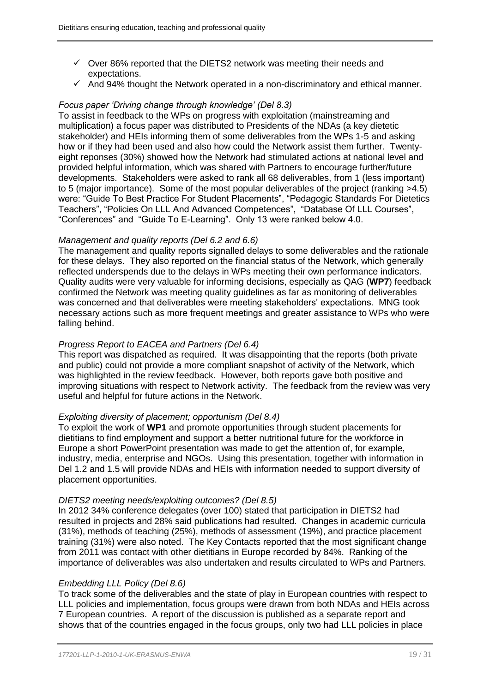- $\checkmark$  Over 86% reported that the DIETS2 network was meeting their needs and expectations.
- $\checkmark$  And 94% thought the Network operated in a non-discriminatory and ethical manner.

#### *Focus paper 'Driving change through knowledge' (Del 8.3)*

To assist in feedback to the WPs on progress with exploitation (mainstreaming and multiplication) a focus paper was distributed to Presidents of the NDAs (a key dietetic stakeholder) and HEIs informing them of some deliverables from the WPs 1-5 and asking how or if they had been used and also how could the Network assist them further. Twentyeight reponses (30%) showed how the Network had stimulated actions at national level and provided helpful information, which was shared with Partners to encourage further/future developments. Stakeholders were asked to rank all 68 deliverables, from 1 (less important) to 5 (major importance). Some of the most popular deliverables of the project (ranking >4.5) were: "Guide To Best Practice For Student Placements", "Pedagogic Standards For Dietetics Teachers", "Policies On LLL And Advanced Competences", "Database Of LLL Courses", "Conferences" and "Guide To E-Learning". Only 13 were ranked below 4.0.

### *Management and quality reports (Del 6.2 and 6.6)*

The management and quality reports signalled delays to some deliverables and the rationale for these delays. They also reported on the financial status of the Network, which generally reflected underspends due to the delays in WPs meeting their own performance indicators. Quality audits were very valuable for informing decisions, especially as QAG (**WP7**) feedback confirmed the Network was meeting quality guidelines as far as monitoring of deliverables was concerned and that deliverables were meeting stakeholders' expectations. MNG took necessary actions such as more frequent meetings and greater assistance to WPs who were falling behind.

### *Progress Report to EACEA and Partners (Del 6.4)*

This report was dispatched as required. It was disappointing that the reports (both private and public) could not provide a more compliant snapshot of activity of the Network, which was highlighted in the review feedback. However, both reports gave both positive and improving situations with respect to Network activity. The feedback from the review was very useful and helpful for future actions in the Network.

### *Exploiting diversity of placement; opportunism (Del 8.4)*

To exploit the work of **WP1** and promote opportunities through student placements for dietitians to find employment and support a better nutritional future for the workforce in Europe a short PowerPoint presentation was made to get the attention of, for example, industry, media, enterprise and NGOs. Using this presentation, together with information in Del 1.2 and 1.5 will provide NDAs and HEIs with information needed to support diversity of placement opportunities.

### *DIETS2 meeting needs/exploiting outcomes? (Del 8.5)*

In 2012 34% conference delegates (over 100) stated that participation in DIETS2 had resulted in projects and 28% said publications had resulted. Changes in academic curricula (31%), methods of teaching (25%), methods of assessment (19%), and practice placement training (31%) were also noted. The Key Contacts reported that the most significant change from 2011 was contact with other dietitians in Europe recorded by 84%. Ranking of the importance of deliverables was also undertaken and results circulated to WPs and Partners.

### *Embedding LLL Policy (Del 8.6)*

To track some of the deliverables and the state of play in European countries with respect to LLL policies and implementation, focus groups were drawn from both NDAs and HEIs across 7 European countries. A report of the discussion is published as a separate report and shows that of the countries engaged in the focus groups, only two had LLL policies in place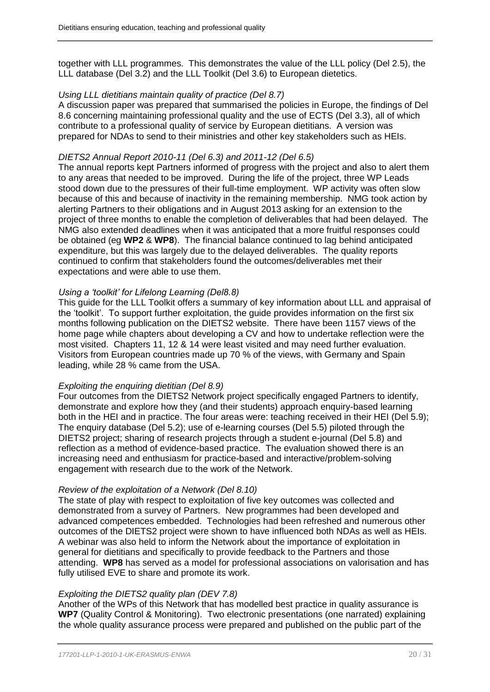together with LLL programmes. This demonstrates the value of the LLL policy (Del 2.5), the LLL database (Del 3.2) and the LLL Toolkit (Del 3.6) to European dietetics.

## *Using LLL dietitians maintain quality of practice (Del 8.7)*

A discussion paper was prepared that summarised the policies in Europe, the findings of Del 8.6 concerning maintaining professional quality and the use of ECTS (Del 3.3), all of which contribute to a professional quality of service by European dietitians. A version was prepared for NDAs to send to their ministries and other key stakeholders such as HEIs.

## *DIETS2 Annual Report 2010-11 (Del 6.3) and 2011-12 (Del 6.5)*

The annual reports kept Partners informed of progress with the project and also to alert them to any areas that needed to be improved. During the life of the project, three WP Leads stood down due to the pressures of their full-time employment. WP activity was often slow because of this and because of inactivity in the remaining membership. NMG took action by alerting Partners to their obligations and in August 2013 asking for an extension to the project of three months to enable the completion of deliverables that had been delayed. The NMG also extended deadlines when it was anticipated that a more fruitful responses could be obtained (eg **WP2** & **WP8**). The financial balance continued to lag behind anticipated expenditure, but this was largely due to the delayed deliverables. The quality reports continued to confirm that stakeholders found the outcomes/deliverables met their expectations and were able to use them.

## *Using a 'toolkit' for Lifelong Learning (Del8.8)*

This guide for the LLL Toolkit offers a summary of key information about LLL and appraisal of the 'toolkit'. To support further exploitation, the guide provides information on the first six months following publication on the DIETS2 website. There have been 1157 views of the home page while chapters about developing a CV and how to undertake reflection were the most visited. Chapters 11, 12 & 14 were least visited and may need further evaluation. Visitors from European countries made up 70 % of the views, with Germany and Spain leading, while 28 % came from the USA.

# *Exploiting the enquiring dietitian (Del 8.9)*

Four outcomes from the DIETS2 Network project specifically engaged Partners to identify, demonstrate and explore how they (and their students) approach enquiry-based learning both in the HEI and in practice. The four areas were: teaching received in their HEI (Del 5.9); The enquiry database (Del 5.2); use of e-learning courses (Del 5.5) piloted through the DIETS2 project; sharing of research projects through a student e-journal (Del 5.8) and reflection as a method of evidence-based practice. The evaluation showed there is an increasing need and enthusiasm for practice-based and interactive/problem-solving engagement with research due to the work of the Network.

### *Review of the exploitation of a Network (Del 8.10)*

The state of play with respect to exploitation of five key outcomes was collected and demonstrated from a survey of Partners. New programmes had been developed and advanced competences embedded. Technologies had been refreshed and numerous other outcomes of the DIETS2 project were shown to have influenced both NDAs as well as HEIs. A webinar was also held to inform the Network about the importance of exploitation in general for dietitians and specifically to provide feedback to the Partners and those attending. **WP8** has served as a model for professional associations on valorisation and has fully utilised EVE to share and promote its work.

# *Exploiting the DIETS2 quality plan (DEV 7.8)*

Another of the WPs of this Network that has modelled best practice in quality assurance is **WP7** (Quality Control & Monitoring). Two electronic presentations (one narrated) explaining the whole quality assurance process were prepared and published on the public part of the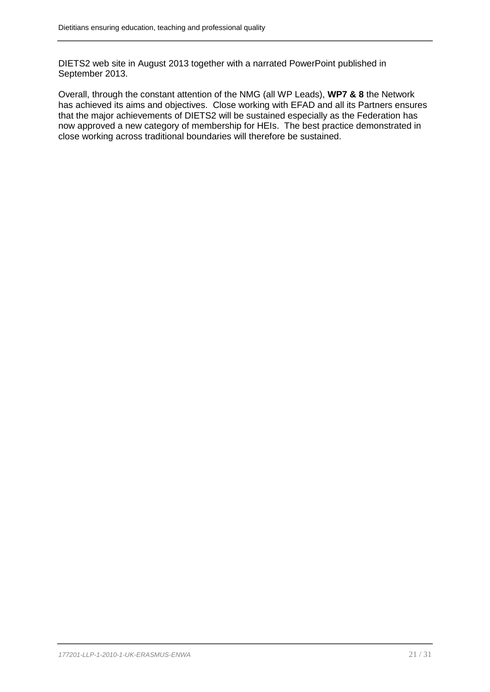DIETS2 web site in August 2013 together with a narrated PowerPoint published in September 2013.

Overall, through the constant attention of the NMG (all WP Leads), **WP7 & 8** the Network has achieved its aims and objectives. Close working with EFAD and all its Partners ensures that the major achievements of DIETS2 will be sustained especially as the Federation has now approved a new category of membership for HEIs. The best practice demonstrated in close working across traditional boundaries will therefore be sustained.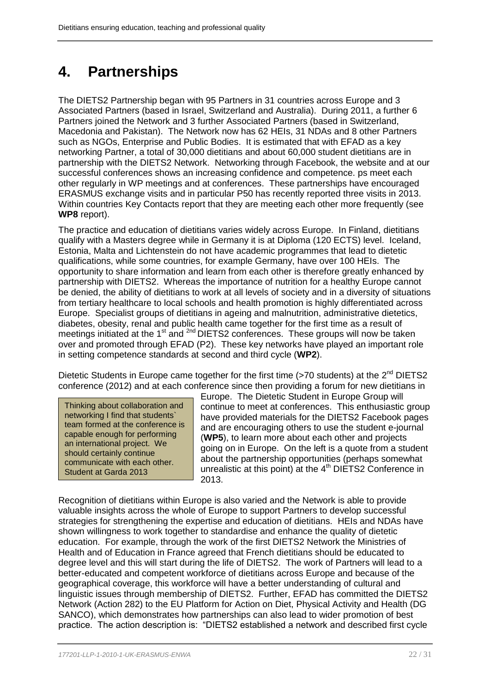# <span id="page-21-0"></span>**4. Partnerships**

The DIETS2 Partnership began with 95 Partners in 31 countries across Europe and 3 Associated Partners (based in Israel, Switzerland and Australia). During 2011, a further 6 Partners joined the Network and 3 further Associated Partners (based in Switzerland, Macedonia and Pakistan). The Network now has 62 HEIs, 31 NDAs and 8 other Partners such as NGOs, Enterprise and Public Bodies. It is estimated that with EFAD as a key networking Partner, a total of 30,000 dietitians and about 60,000 student dietitians are in partnership with the DIETS2 Network. Networking through Facebook, the website and at our successful conferences shows an increasing confidence and competence. ps meet each other regularly in WP meetings and at conferences. These partnerships have encouraged ERASMUS exchange visits and in particular P50 has recently reported three visits in 2013. Within countries Key Contacts report that they are meeting each other more frequently (see **WP8** report).

The practice and education of dietitians varies widely across Europe. In Finland, dietitians qualify with a Masters degree while in Germany it is at Diploma (120 ECTS) level. Iceland, Estonia, Malta and Lichtenstein do not have academic programmes that lead to dietetic qualifications, while some countries, for example Germany, have over 100 HEIs. The opportunity to share information and learn from each other is therefore greatly enhanced by partnership with DIETS2. Whereas the importance of nutrition for a healthy Europe cannot be denied, the ability of dietitians to work at all levels of society and in a diversity of situations from tertiary healthcare to local schools and health promotion is highly differentiated across Europe. Specialist groups of dietitians in ageing and malnutrition, administrative dietetics, diabetes, obesity, renal and public health came together for the first time as a result of meetings initiated at the 1<sup>st</sup> and <sup>2nd</sup> DIETS2 conferences. These groups will now be taken over and promoted through EFAD (P2). These key networks have played an important role in setting competence standards at second and third cycle (**WP2**).

Dietetic Students in Europe came together for the first time (>70 students) at the 2<sup>nd</sup> DIETS2 conference (2012) and at each conference since then providing a forum for new dietitians in

Thinking about collaboration and networking I find that students` team formed at the conference is capable enough for performing an international project. We should certainly continue communicate with each other. Student at Garda 2013

Europe. The Dietetic Student in Europe Group will continue to meet at conferences. This enthusiastic group have provided materials for the DIETS2 Facebook pages and are encouraging others to use the student e-journal (**WP5**), to learn more about each other and projects going on in Europe. On the left is a quote from a student about the partnership opportunities (perhaps somewhat unrealistic at this point) at the  $4<sup>th</sup>$  DIETS2 Conference in 2013.

Recognition of dietitians within Europe is also varied and the Network is able to provide valuable insights across the whole of Europe to support Partners to develop successful strategies for strengthening the expertise and education of dietitians. HEIs and NDAs have shown willingness to work together to standardise and enhance the quality of dietetic education. For example, through the work of the first DIETS2 Network the Ministries of Health and of Education in France agreed that French dietitians should be educated to degree level and this will start during the life of DIETS2. The work of Partners will lead to a better-educated and competent workforce of dietitians across Europe and because of the geographical coverage, this workforce will have a better understanding of cultural and linguistic issues through membership of DIETS2. Further, EFAD has committed the DIETS2 Network (Action 282) to the EU Platform for Action on Diet, Physical Activity and Health (DG SANCO), which demonstrates how partnerships can also lead to wider promotion of best practice. The action description is: "DIETS2 established a network and described first cycle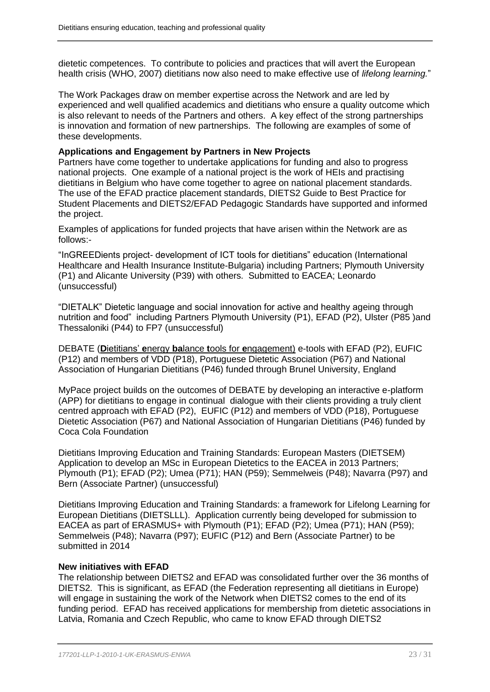dietetic competences. To contribute to policies and practices that will avert the European health crisis (WHO, 2007) dietitians now also need to make effective use of *lifelong learning.*"

The Work Packages draw on member expertise across the Network and are led by experienced and well qualified academics and dietitians who ensure a quality outcome which is also relevant to needs of the Partners and others. A key effect of the strong partnerships is innovation and formation of new partnerships. The following are examples of some of these developments.

### **Applications and Engagement by Partners in New Projects**

Partners have come together to undertake applications for funding and also to progress national projects. One example of a national project is the work of HEIs and practising dietitians in Belgium who have come together to agree on national placement standards. The use of the EFAD practice placement standards, DIETS2 Guide to Best Practice for Student Placements and DIETS2/EFAD Pedagogic Standards have supported and informed the project.

Examples of applications for funded projects that have arisen within the Network are as follows:-

"InGREEDients project- development of ICT tools for dietitians" education (International Healthcare and Health Insurance Institute-Bulgaria) including Partners; Plymouth University (P1) and Alicante University (P39) with others. Submitted to EACEA; Leonardo (unsuccessful)

"DIETALK" Dietetic language and social innovation for active and healthy ageing through nutrition and food" including Partners Plymouth University (P1), EFAD (P2), Ulster (P85 )and Thessaloniki (P44) to FP7 (unsuccessful)

DEBATE (**D**ietitians' **e**nergy **ba**lance **t**ools for **e**ngagement) e-tools with EFAD (P2), EUFIC (P12) and members of VDD (P18), Portuguese Dietetic Association (P67) and National Association of Hungarian Dietitians (P46) funded through Brunel University, England

MyPace project builds on the outcomes of DEBATE by developing an interactive e-platform (APP) for dietitians to engage in continual dialogue with their clients providing a truly client centred approach with EFAD (P2), EUFIC (P12) and members of VDD (P18), Portuguese Dietetic Association (P67) and National Association of Hungarian Dietitians (P46) funded by Coca Cola Foundation

Dietitians Improving Education and Training Standards: European Masters (DIETSEM) Application to develop an MSc in European Dietetics to the EACEA in 2013 Partners; Plymouth (P1); EFAD (P2); Umea (P71); HAN (P59); Semmelweis (P48); Navarra (P97) and Bern (Associate Partner) (unsuccessful)

Dietitians Improving Education and Training Standards: a framework for Lifelong Learning for European Dietitians (DIETSLLL). Application currently being developed for submission to EACEA as part of ERASMUS+ with Plymouth (P1); EFAD (P2); Umea (P71); HAN (P59); Semmelweis (P48); Navarra (P97); EUFIC (P12) and Bern (Associate Partner) to be submitted in 2014

### **New initiatives with EFAD**

The relationship between DIETS2 and EFAD was consolidated further over the 36 months of DIETS2. This is significant, as EFAD (the Federation representing all dietitians in Europe) will engage in sustaining the work of the Network when DIETS2 comes to the end of its funding period. EFAD has received applications for membership from dietetic associations in Latvia, Romania and Czech Republic, who came to know EFAD through DIETS2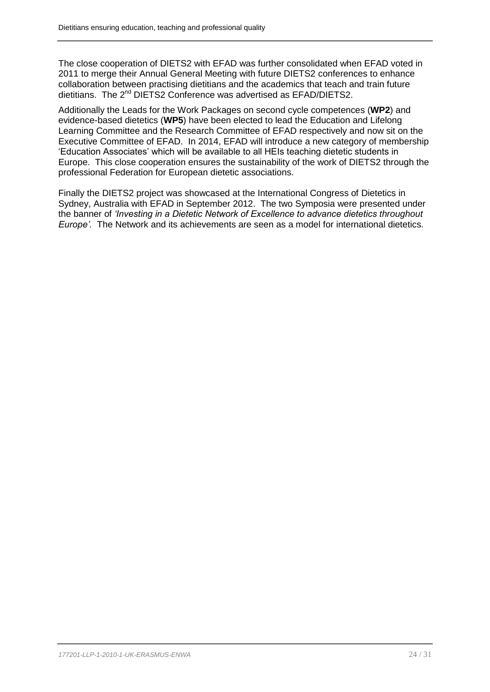The close cooperation of DIETS2 with EFAD was further consolidated when EFAD voted in 2011 to merge their Annual General Meeting with future DIETS2 conferences to enhance collaboration between practising dietitians and the academics that teach and train future dietitians. The 2<sup>nd</sup> DIETS2 Conference was advertised as EFAD/DIETS2.

Additionally the Leads for the Work Packages on second cycle competences (**WP2**) and evidence-based dietetics (**WP5**) have been elected to lead the Education and Lifelong Learning Committee and the Research Committee of EFAD respectively and now sit on the Executive Committee of EFAD. In 2014, EFAD will introduce a new category of membership 'Education Associates' which will be available to all HEIs teaching dietetic students in Europe. This close cooperation ensures the sustainability of the work of DIETS2 through the professional Federation for European dietetic associations.

Finally the DIETS2 project was showcased at the International Congress of Dietetics in Sydney, Australia with EFAD in September 2012. The two Symposia were presented under the banner of *'Investing in a Dietetic Network of Excellence to advance dietetics throughout Europe'.* The Network and its achievements are seen as a model for international dietetics.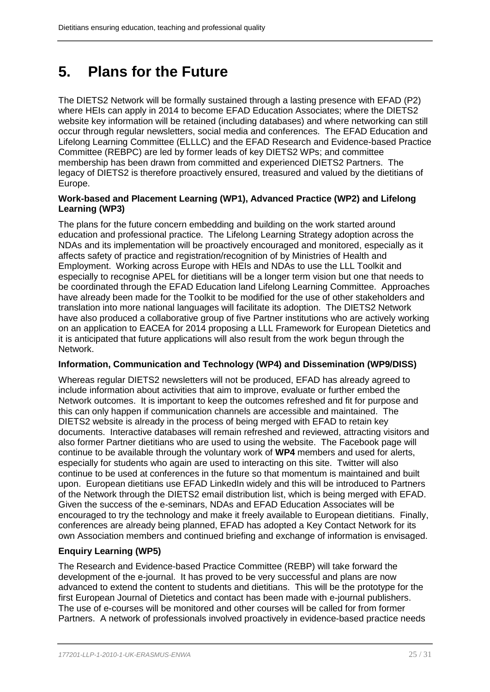# <span id="page-24-0"></span>**5. Plans for the Future**

The DIETS2 Network will be formally sustained through a lasting presence with EFAD (P2) where HEIs can apply in 2014 to become EFAD Education Associates; where the DIETS2 website key information will be retained (including databases) and where networking can still occur through regular newsletters, social media and conferences. The EFAD Education and Lifelong Learning Committee (ELLLC) and the EFAD Research and Evidence-based Practice Committee (REBPC) are led by former leads of key DIETS2 WPs; and committee membership has been drawn from committed and experienced DIETS2 Partners. The legacy of DIETS2 is therefore proactively ensured, treasured and valued by the dietitians of Europe.

# **Work-based and Placement Learning (WP1), Advanced Practice (WP2) and Lifelong Learning (WP3)**

The plans for the future concern embedding and building on the work started around education and professional practice. The Lifelong Learning Strategy adoption across the NDAs and its implementation will be proactively encouraged and monitored, especially as it affects safety of practice and registration/recognition of by Ministries of Health and Employment. Working across Europe with HEIs and NDAs to use the LLL Toolkit and especially to recognise APEL for dietitians will be a longer term vision but one that needs to be coordinated through the EFAD Education land Lifelong Learning Committee. Approaches have already been made for the Toolkit to be modified for the use of other stakeholders and translation into more national languages will facilitate its adoption. The DIETS2 Network have also produced a collaborative group of five Partner institutions who are actively working on an application to EACEA for 2014 proposing a LLL Framework for European Dietetics and it is anticipated that future applications will also result from the work begun through the Network.

# **Information, Communication and Technology (WP4) and Dissemination (WP9/DISS)**

Whereas regular DIETS2 newsletters will not be produced, EFAD has already agreed to include information about activities that aim to improve, evaluate or further embed the Network outcomes. It is important to keep the outcomes refreshed and fit for purpose and this can only happen if communication channels are accessible and maintained. The DIETS2 website is already in the process of being merged with EFAD to retain key documents. Interactive databases will remain refreshed and reviewed, attracting visitors and also former Partner dietitians who are used to using the website. The Facebook page will continue to be available through the voluntary work of **WP4** members and used for alerts, especially for students who again are used to interacting on this site. Twitter will also continue to be used at conferences in the future so that momentum is maintained and built upon. European dietitians use EFAD LinkedIn widely and this will be introduced to Partners of the Network through the DIETS2 email distribution list, which is being merged with EFAD. Given the success of the e-seminars, NDAs and EFAD Education Associates will be encouraged to try the technology and make it freely available to European dietitians. Finally, conferences are already being planned, EFAD has adopted a Key Contact Network for its own Association members and continued briefing and exchange of information is envisaged.

# **Enquiry Learning (WP5)**

The Research and Evidence-based Practice Committee (REBP) will take forward the development of the e-journal. It has proved to be very successful and plans are now advanced to extend the content to students and dietitians. This will be the prototype for the first European Journal of Dietetics and contact has been made with e-journal publishers. The use of e-courses will be monitored and other courses will be called for from former Partners. A network of professionals involved proactively in evidence-based practice needs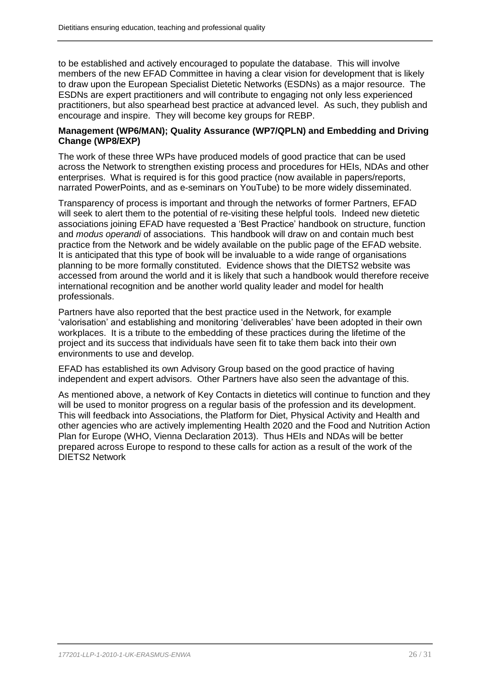to be established and actively encouraged to populate the database. This will involve members of the new EFAD Committee in having a clear vision for development that is likely to draw upon the European Specialist Dietetic Networks (ESDNs) as a major resource. The ESDNs are expert practitioners and will contribute to engaging not only less experienced practitioners, but also spearhead best practice at advanced level. As such, they publish and encourage and inspire. They will become key groups for REBP.

# **Management (WP6/MAN); Quality Assurance (WP7/QPLN) and Embedding and Driving Change (WP8/EXP)**

The work of these three WPs have produced models of good practice that can be used across the Network to strengthen existing process and procedures for HEIs, NDAs and other enterprises. What is required is for this good practice (now available in papers/reports, narrated PowerPoints, and as e-seminars on YouTube) to be more widely disseminated.

Transparency of process is important and through the networks of former Partners, EFAD will seek to alert them to the potential of re-visiting these helpful tools. Indeed new dietetic associations joining EFAD have requested a 'Best Practice' handbook on structure, function and *modus operandi* of associations. This handbook will draw on and contain much best practice from the Network and be widely available on the public page of the EFAD website. It is anticipated that this type of book will be invaluable to a wide range of organisations planning to be more formally constituted. Evidence shows that the DIETS2 website was accessed from around the world and it is likely that such a handbook would therefore receive international recognition and be another world quality leader and model for health professionals.

Partners have also reported that the best practice used in the Network, for example 'valorisation' and establishing and monitoring 'deliverables' have been adopted in their own workplaces. It is a tribute to the embedding of these practices during the lifetime of the project and its success that individuals have seen fit to take them back into their own environments to use and develop.

EFAD has established its own Advisory Group based on the good practice of having independent and expert advisors. Other Partners have also seen the advantage of this.

As mentioned above, a network of Key Contacts in dietetics will continue to function and they will be used to monitor progress on a regular basis of the profession and its development. This will feedback into Associations, the Platform for Diet, Physical Activity and Health and other agencies who are actively implementing Health 2020 and the Food and Nutrition Action Plan for Europe (WHO, Vienna Declaration 2013). Thus HEIs and NDAs will be better prepared across Europe to respond to these calls for action as a result of the work of the DIETS2 Network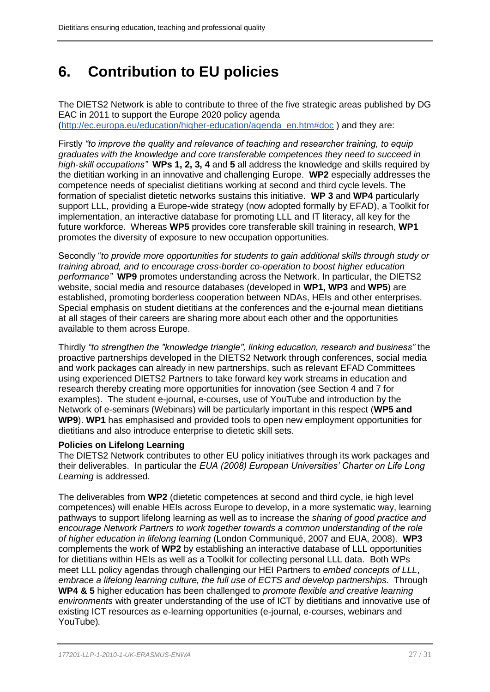# <span id="page-26-0"></span>**6. Contribution to EU policies**

The DIETS2 Network is able to contribute to three of the five strategic areas published by DG EAC in 2011 to support the Europe 2020 policy agenda [\(http://ec.europa.eu/education/higher-education/agenda\\_en.htm#doc](http://ec.europa.eu/education/higher-education/agenda_en.htm#doc) ) and they are:

Firstly *"to improve the quality and relevance of teaching and researcher training, to equip graduates with the knowledge and core transferable competences they need to succeed in high-skill occupations"* **WPs 1, 2, 3, 4** and **5** all address the knowledge and skills required by the dietitian working in an innovative and challenging Europe. **WP2** especially addresses the competence needs of specialist dietitians working at second and third cycle levels. The formation of specialist dietetic networks sustains this initiative. **WP 3** and **WP4** particularly support LLL, providing a Europe-wide strategy (now adopted formally by EFAD), a Toolkit for implementation, an interactive database for promoting LLL and IT literacy, all key for the future workforce. Whereas **WP5** provides core transferable skill training in research, **WP1** promotes the diversity of exposure to new occupation opportunities.

Secondly "*to provide more opportunities for students to gain additional skills through study or training abroad, and to encourage cross-border co-operation to boost higher education performance"* **WP9** promotes understanding across the Network. In particular, the DIETS2 website, social media and resource databases (developed in **WP1, WP3** and **WP5**) are established, promoting borderless cooperation between NDAs, HEIs and other enterprises. Special emphasis on student dietitians at the conferences and the e-journal mean dietitians at all stages of their careers are sharing more about each other and the opportunities available to them across Europe.

Thirdly *"to strengthen the "knowledge triangle", linking education, research and business"* the proactive partnerships developed in the DIETS2 Network through conferences, social media and work packages can already in new partnerships, such as relevant EFAD Committees using experienced DIETS2 Partners to take forward key work streams in education and research thereby creating more opportunities for innovation (see Section 4 and 7 for examples). The student e-journal, e-courses, use of YouTube and introduction by the Network of e-seminars (Webinars) will be particularly important in this respect (**WP5 and WP9**). **WP1** has emphasised and provided tools to open new employment opportunities for dietitians and also introduce enterprise to dietetic skill sets.

# **Policies on Lifelong Learning**

The DIETS2 Network contributes to other EU policy initiatives through its work packages and their deliverables. In particular the *EUA (2008) European Universities' Charter on Life Long Learning* is addressed.

The deliverables from **WP2** (dietetic competences at second and third cycle, ie high level competences) will enable HEIs across Europe to develop, in a more systematic way, learning pathways to support lifelong learning as well as to increase the *sharing of good practice and encourage Network Partners to work together towards a common understanding of the role of higher education in lifelong learning* (London Communiqué, 2007 and EUA, 2008). **WP3** complements the work of **WP2** by establishing an interactive database of LLL opportunities for dietitians within HEIs as well as a Toolkit for collecting personal LLL data. Both WPs meet LLL policy agendas through challenging our HEI Partners to *embed concepts of LLL*, *embrace a lifelong learning culture, the full use of ECTS and develop partnerships.* Through **WP4 & 5** higher education has been challenged to *promote flexible and creative learning environments* with greater understanding of the use of ICT by dietitians and innovative use of existing ICT resources as e-learning opportunities (e-journal, e-courses, webinars and YouTube)*.*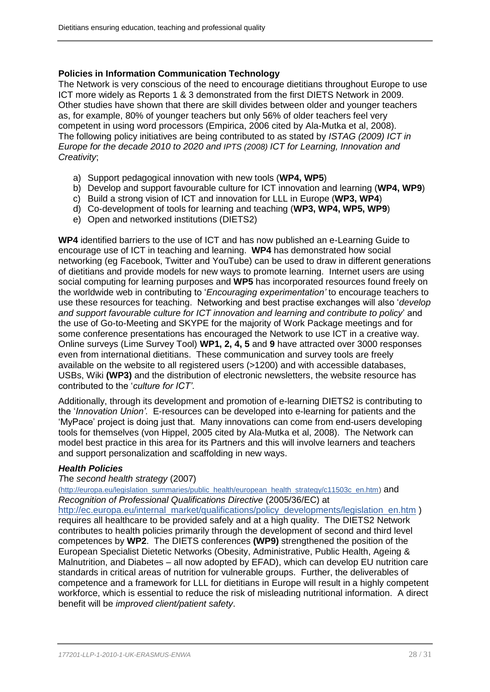# **Policies in Information Communication Technology**

The Network is very conscious of the need to encourage dietitians throughout Europe to use ICT more widely as Reports 1 & 3 demonstrated from the first DIETS Network in 2009. Other studies have shown that there are skill divides between older and younger teachers as, for example, 80% of younger teachers but only 56% of older teachers feel very competent in using word processors (Empirica, 2006 cited by Ala-Mutka et al, 2008). The following policy initiatives are being contributed to as stated by *ISTAG (2009) ICT in Europe for the decade 2010 to 2020 and IPTS (2008) ICT for Learning, Innovation and Creativity*;

- a) Support pedagogical innovation with new tools (**WP4, WP5**)
- b) Develop and support favourable culture for ICT innovation and learning (**WP4, WP9**)
- c) Build a strong vision of ICT and innovation for LLL in Europe (**WP3, WP4**)
- d) Co-development of tools for learning and teaching (**WP3, WP4, WP5, WP9**)
- e) Open and networked institutions (DIETS2)

**WP4** identified barriers to the use of ICT and has now published an e-Learning Guide to encourage use of ICT in teaching and learning. **WP4** has demonstrated how social networking (eg Facebook, Twitter and YouTube) can be used to draw in different generations of dietitians and provide models for new ways to promote learning. Internet users are using social computing for learning purposes and **WP5** has incorporated resources found freely on the worldwide web in contributing to '*Encouraging experimentation'* to encourage teachers to use these resources for teaching. Networking and best practise exchanges will also '*develop and support favourable culture for ICT innovation and learning and contribute to policy*' and the use of Go-to-Meeting and SKYPE for the majority of Work Package meetings and for some conference presentations has encouraged the Network to use ICT in a creative way. Online surveys (Lime Survey Tool) **WP1, 2, 4, 5** and **9** have attracted over 3000 responses even from international dietitians. These communication and survey tools are freely available on the website to all registered users (>1200) and with accessible databases, USBs, Wiki **(WP3)** and the distribution of electronic newsletters, the website resource has contributed to the '*culture for ICT'*.

Additionally, through its development and promotion of e-learning DIETS2 is contributing to the '*Innovation Union'*. E-resources can be developed into e-learning for patients and the 'MyPace' project is doing just that. Many innovations can come from end-users developing tools for themselves (von Hippel, 2005 cited by Ala-Mutka et al, 2008). The Network can model best practice in this area for its Partners and this will involve learners and teachers and support personalization and scaffolding in new ways.

# *Health Policies*

# *T*he *second health strategy* (2007)

[\(http://europa.eu/legislation\\_summaries/public\\_health/european\\_health\\_strategy/c11503c\\_en.htm\)](http://europa.eu/legislation_summaries/public_health/european_health_strategy/c11503c_en.htm) and *Recognition of Professional Qualifications Directive* (2005/36/EC) at

[http://ec.europa.eu/internal\\_market/qualifications/policy\\_developments/legislation\\_en.htm](http://ec.europa.eu/internal_market/qualifications/policy_developments/legislation_en.htm) ) requires all healthcare to be provided safely and at a high quality. The DIETS2 Network contributes to health policies primarily through the development of second and third level competences by **WP2**. The DIETS conferences **(WP9)** strengthened the position of the European Specialist Dietetic Networks (Obesity, Administrative, Public Health, Ageing & Malnutrition, and Diabetes – all now adopted by EFAD), which can develop EU nutrition care standards in critical areas of nutrition for vulnerable groups. Further, the deliverables of competence and a framework for LLL for dietitians in Europe will result in a highly competent workforce, which is essential to reduce the risk of misleading nutritional information. A direct benefit will be *improved client/patient safety*.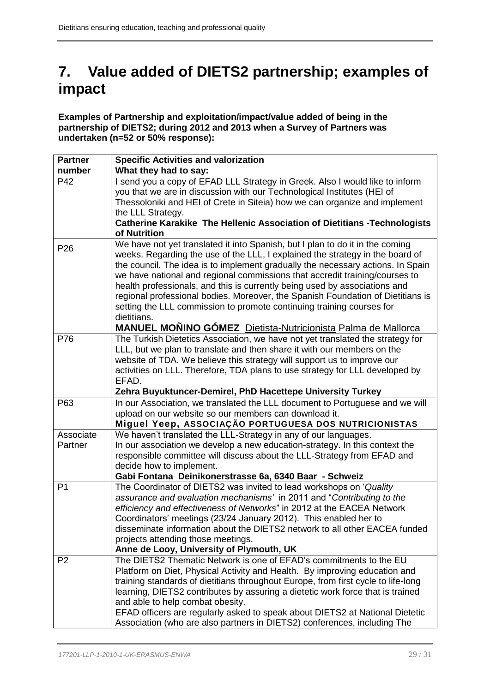# **7. Value added of DIETS2 partnership; examples of impact**

**Examples of Partnership and exploitation/impact/value added of being in the partnership of DIETS2; during 2012 and 2013 when a Survey of Partners was undertaken (n=52 or 50% response):**

| <b>Partner</b>       | <b>Specific Activities and valorization</b>                                                                                                            |
|----------------------|--------------------------------------------------------------------------------------------------------------------------------------------------------|
| number               | What they had to say:                                                                                                                                  |
| P42                  | I send you a copy of EFAD LLL Strategy in Greek. Also I would like to inform                                                                           |
|                      | you that we are in discussion with our Technological Institutes (HEI of                                                                                |
|                      | Thessoloniki and HEI of Crete in Siteia) how we can organize and implement                                                                             |
|                      | the LLL Strategy.                                                                                                                                      |
|                      | <b>Catherine Karakike The Hellenic Association of Dietitians -Technologists</b>                                                                        |
|                      | of Nutrition<br>We have not yet translated it into Spanish, but I plan to do it in the coming                                                          |
| P <sub>26</sub>      | weeks. Regarding the use of the LLL, I explained the strategy in the board of                                                                          |
|                      | the council. The idea is to implement gradually the necessary actions. In Spain                                                                        |
|                      | we have national and regional commissions that accredit training/courses to                                                                            |
|                      | health professionals, and this is currently being used by associations and                                                                             |
|                      | regional professional bodies. Moreover, the Spanish Foundation of Dietitians is                                                                        |
|                      | setting the LLL commission to promote continuing training courses for                                                                                  |
|                      | dietitians.                                                                                                                                            |
|                      | <b>MANUEL MOÑINO GÓMEZ</b> Dietista-Nutricionista Palma de Mallorca                                                                                    |
| P76                  | The Turkish Dietetics Association, we have not yet translated the strategy for                                                                         |
|                      | LLL, but we plan to translate and then share it with our members on the                                                                                |
|                      | website of TDA. We believe this strategy will support us to improve our                                                                                |
|                      | activities on LLL. Therefore, TDA plans to use strategy for LLL developed by                                                                           |
|                      | EFAD.                                                                                                                                                  |
|                      | Zehra Buyuktuncer-Demirel, PhD Hacettepe University Turkey                                                                                             |
| P63                  | In our Association, we translated the LLL document to Portuguese and we will                                                                           |
|                      | upload on our website so our members can download it.                                                                                                  |
|                      | Miguel Yeep, ASSOCIAÇÃO PORTUGUESA DOS NUTRICIONISTAS                                                                                                  |
| Associate<br>Partner | We haven't translated the LLL-Strategy in any of our languages.                                                                                        |
|                      | In our association we develop a new education-strategy. In this context the<br>responsible committee will discuss about the LLL-Strategy from EFAD and |
|                      | decide how to implement.                                                                                                                               |
|                      | Gabi Fontana Deinikonerstrasse 6a, 6340 Baar - Schweiz                                                                                                 |
| P <sub>1</sub>       | The Coordinator of DIETS2 was invited to lead workshops on 'Quality                                                                                    |
|                      | assurance and evaluation mechanisms' in 2011 and "Contributing to the                                                                                  |
|                      | efficiency and effectiveness of Networks" in 2012 at the EACEA Network                                                                                 |
|                      | Coordinators' meetings (23/24 January 2012). This enabled her to                                                                                       |
|                      | disseminate information about the DIETS2 network to all other EACEA funded                                                                             |
|                      | projects attending those meetings.                                                                                                                     |
|                      | Anne de Looy, University of Plymouth, UK                                                                                                               |
| P <sub>2</sub>       | The DIETS2 Thematic Network is one of EFAD's commitments to the EU                                                                                     |
|                      | Platform on Diet, Physical Activity and Health. By improving education and                                                                             |
|                      | training standards of dietitians throughout Europe, from first cycle to life-long                                                                      |
|                      | learning, DIETS2 contributes by assuring a dietetic work force that is trained                                                                         |
|                      | and able to help combat obesity.                                                                                                                       |
|                      | EFAD officers are regularly asked to speak about DIETS2 at National Dietetic                                                                           |
|                      | Association (who are also partners in DIETS2) conferences, including The                                                                               |